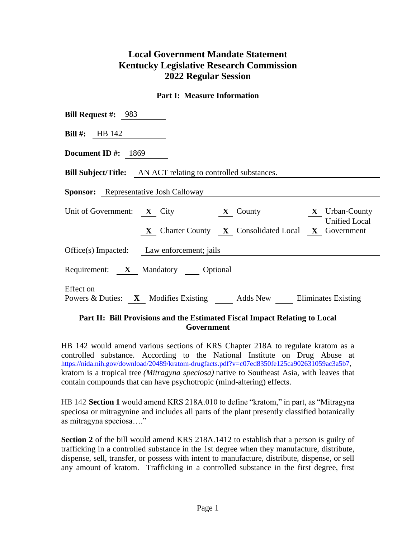## **Local Government Mandate Statement Kentucky Legislative Research Commission 2022 Regular Session**

## **Part I: Measure Information**

| <b>Bill Request #:</b> 983                                                     |  |  |  |  |  |  |  |
|--------------------------------------------------------------------------------|--|--|--|--|--|--|--|
| <b>Bill #:</b> HB $142$                                                        |  |  |  |  |  |  |  |
| Document ID $\#$ : 1869                                                        |  |  |  |  |  |  |  |
| <b>Bill Subject/Title:</b> AN ACT relating to controlled substances.           |  |  |  |  |  |  |  |
| <b>Sponsor:</b> Representative Josh Calloway                                   |  |  |  |  |  |  |  |
| Unit of Government: X City X County X Urban-County<br><b>Unified Local</b>     |  |  |  |  |  |  |  |
| X Charter County X Consolidated Local X Government                             |  |  |  |  |  |  |  |
| Office(s) Impacted: Law enforcement; jails                                     |  |  |  |  |  |  |  |
| Requirement: X Mandatory Optional                                              |  |  |  |  |  |  |  |
| Effect on<br>Powers & Duties: X Modifies Existing Adds New Eliminates Existing |  |  |  |  |  |  |  |

## **Part II: Bill Provisions and the Estimated Fiscal Impact Relating to Local Government**

HB 142 would amend various sections of KRS Chapter 218A to regulate kratom as a controlled substance. According to the National Institute on Drug Abuse at [https://nida.nih.gov/download/20489/kratom-drugfacts.pdf?v=c07ed8350fe125ca902631059ac3a5b7,](https://nida.nih.gov/download/20489/kratom-drugfacts.pdf?v=c07ed8350fe125ca902631059ac3a5b7) kratom is a tropical tree *(Mitragyna speciosa)* native to Southeast Asia, with leaves that contain compounds that can have psychotropic (mind-altering) effects.

HB 142 **Section 1** would amend KRS 218A.010 to define "kratom," in part, as "Mitragyna speciosa or mitragynine and includes all parts of the plant presently classified botanically as mitragyna speciosa…."

**Section 2** of the bill would amend KRS 218A.1412 to establish that a person is guilty of trafficking in a controlled substance in the 1st degree when they manufacture, distribute, dispense, sell, transfer, or possess with intent to manufacture, distribute, dispense, or sell any amount of kratom. Trafficking in a controlled substance in the first degree, first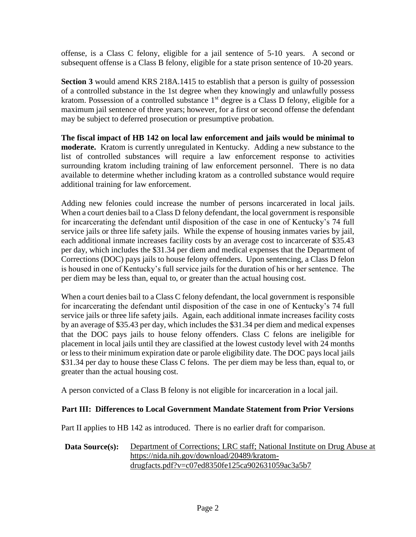offense, is a Class C felony, eligible for a jail sentence of 5-10 years. A second or subsequent offense is a Class B felony, eligible for a state prison sentence of 10-20 years.

**Section 3** would amend KRS 218A.1415 to establish that a person is guilty of possession of a controlled substance in the 1st degree when they knowingly and unlawfully possess kratom. Possession of a controlled substance  $1<sup>st</sup>$  degree is a Class D felony, eligible for a maximum jail sentence of three years; however, for a first or second offense the defendant may be subject to deferred prosecution or presumptive probation.

**The fiscal impact of HB 142 on local law enforcement and jails would be minimal to moderate.** Kratom is currently unregulated in Kentucky. Adding a new substance to the list of controlled substances will require a law enforcement response to activities surrounding kratom including training of law enforcement personnel. There is no data available to determine whether including kratom as a controlled substance would require additional training for law enforcement.

Adding new felonies could increase the number of persons incarcerated in local jails. When a court denies bail to a Class D felony defendant, the local government is responsible for incarcerating the defendant until disposition of the case in one of Kentucky's 74 full service jails or three life safety jails. While the expense of housing inmates varies by jail, each additional inmate increases facility costs by an average cost to incarcerate of \$35.43 per day, which includes the \$31.34 per diem and medical expenses that the Department of Corrections (DOC) pays jails to house felony offenders. Upon sentencing, a Class D felon is housed in one of Kentucky's full service jails for the duration of his or her sentence. The per diem may be less than, equal to, or greater than the actual housing cost.

When a court denies bail to a Class C felony defendant, the local government is responsible for incarcerating the defendant until disposition of the case in one of Kentucky's 74 full service jails or three life safety jails. Again, each additional inmate increases facility costs by an average of \$35.43 per day, which includes the \$31.34 per diem and medical expenses that the DOC pays jails to house felony offenders. Class C felons are ineligible for placement in local jails until they are classified at the lowest custody level with 24 months or less to their minimum expiration date or parole eligibility date. The DOC pays local jails \$31.34 per day to house these Class C felons. The per diem may be less than, equal to, or greater than the actual housing cost.

A person convicted of a Class B felony is not eligible for incarceration in a local jail.

## **Part III: Differences to Local Government Mandate Statement from Prior Versions**

Part II applies to HB 142 as introduced. There is no earlier draft for comparison.

**Data Source(s):** Department of Corrections; LRC staff; National Institute on Drug Abuse at https://nida.nih.gov/download/20489/kratomdrugfacts.pdf?v=c07ed8350fe125ca902631059ac3a5b7